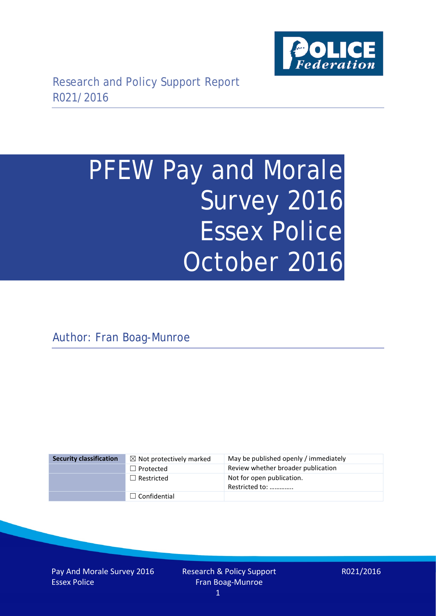

# PFEW Pay and Morale Survey 2016 Essex Police October 2016

Author: Fran Boag-Munroe

| <b>Security classification</b> | $\boxtimes$ Not protectively marked | May be published openly / immediately       |
|--------------------------------|-------------------------------------|---------------------------------------------|
|                                | $\Box$ Protected                    | Review whether broader publication          |
|                                | $\Box$ Restricted                   | Not for open publication.<br>Restricted to: |
|                                | $\Box$ Confidential                 |                                             |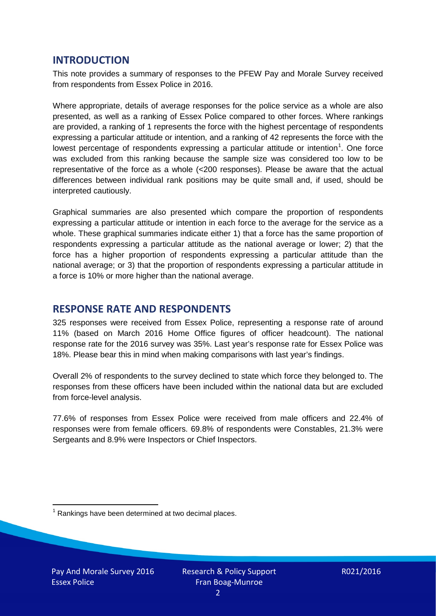### **INTRODUCTION**

This note provides a summary of responses to the PFEW Pay and Morale Survey received from respondents from Essex Police in 2016.

Where appropriate, details of average responses for the police service as a whole are also presented, as well as a ranking of Essex Police compared to other forces. Where rankings are provided, a ranking of 1 represents the force with the highest percentage of respondents expressing a particular attitude or intention, and a ranking of 42 represents the force with the lowest percentage of respondents expressing a particular attitude or intention<sup>[1](#page-1-0)</sup>. One force was excluded from this ranking because the sample size was considered too low to be representative of the force as a whole (<200 responses). Please be aware that the actual differences between individual rank positions may be quite small and, if used, should be interpreted cautiously.

Graphical summaries are also presented which compare the proportion of respondents expressing a particular attitude or intention in each force to the average for the service as a whole. These graphical summaries indicate either 1) that a force has the same proportion of respondents expressing a particular attitude as the national average or lower; 2) that the force has a higher proportion of respondents expressing a particular attitude than the national average; or 3) that the proportion of respondents expressing a particular attitude in a force is 10% or more higher than the national average.

# **RESPONSE RATE AND RESPONDENTS**

325 responses were received from Essex Police, representing a response rate of around 11% (based on March 2016 Home Office figures of officer headcount). The national response rate for the 2016 survey was 35%. Last year's response rate for Essex Police was 18%. Please bear this in mind when making comparisons with last year's findings.

Overall 2% of respondents to the survey declined to state which force they belonged to. The responses from these officers have been included within the national data but are excluded from force-level analysis.

77.6% of responses from Essex Police were received from male officers and 22.4% of responses were from female officers. 69.8% of respondents were Constables, 21.3% were Sergeants and 8.9% were Inspectors or Chief Inspectors.

<span id="page-1-0"></span> $1$  Rankings have been determined at two decimal places.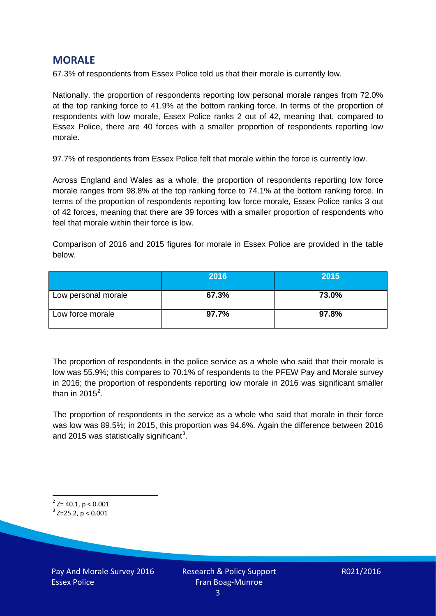# **MORALE**

67.3% of respondents from Essex Police told us that their morale is currently low.

Nationally, the proportion of respondents reporting low personal morale ranges from 72.0% at the top ranking force to 41.9% at the bottom ranking force. In terms of the proportion of respondents with low morale, Essex Police ranks 2 out of 42, meaning that, compared to Essex Police, there are 40 forces with a smaller proportion of respondents reporting low morale.

97.7% of respondents from Essex Police felt that morale within the force is currently low.

Across England and Wales as a whole, the proportion of respondents reporting low force morale ranges from 98.8% at the top ranking force to 74.1% at the bottom ranking force. In terms of the proportion of respondents reporting low force morale, Essex Police ranks 3 out of 42 forces, meaning that there are 39 forces with a smaller proportion of respondents who feel that morale within their force is low.

Comparison of 2016 and 2015 figures for morale in Essex Police are provided in the table below.

|                     | 2016  | 2015  |
|---------------------|-------|-------|
| Low personal morale | 67.3% | 73.0% |
| Low force morale    | 97.7% | 97.8% |

The proportion of respondents in the police service as a whole who said that their morale is low was 55.9%; this compares to 70.1% of respondents to the PFEW Pay and Morale survey in 2016; the proportion of respondents reporting low morale in 2016 was significant smaller than in [2](#page-2-0)015 $^2$ .

The proportion of respondents in the service as a whole who said that morale in their force was low was 89.5%; in 2015, this proportion was 94.6%. Again the difference between 2016 and 2015 was statistically significant<sup>[3](#page-2-1)</sup>.

<span id="page-2-0"></span> $2$ <sup>2</sup> Z= 40.1, p < 0.001

<span id="page-2-1"></span> $3$  Z=25.2, p < 0.001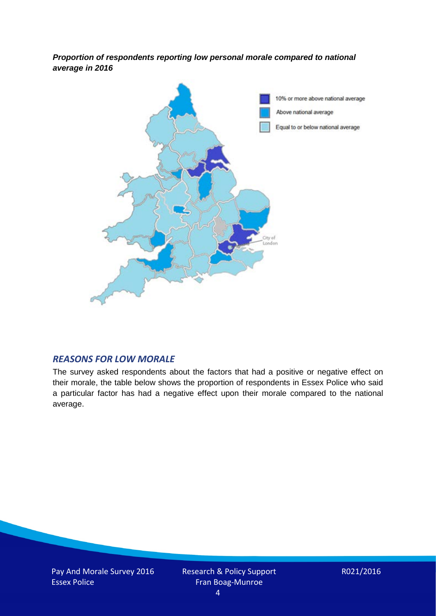*Proportion of respondents reporting low personal morale compared to national average in 2016*



#### *REASONS FOR LOW MORALE*

The survey asked respondents about the factors that had a positive or negative effect on their morale, the table below shows the proportion of respondents in Essex Police who said a particular factor has had a negative effect upon their morale compared to the national average.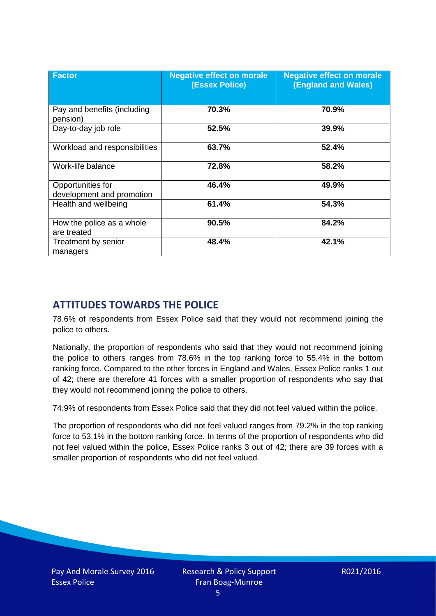| <b>Factor</b>                                  | <b>Negative effect on morale</b><br>(Essex Police) | <b>Negative effect on morale</b><br><b>(England and Wales)</b> |
|------------------------------------------------|----------------------------------------------------|----------------------------------------------------------------|
| Pay and benefits (including<br>pension)        | 70.3%                                              | 70.9%                                                          |
| Day-to-day job role                            | 52.5%                                              | 39.9%                                                          |
| Workload and responsibilities                  | 63.7%                                              | 52.4%                                                          |
| Work-life balance                              | 72.8%                                              | 58.2%                                                          |
| Opportunities for<br>development and promotion | 46.4%                                              | 49.9%                                                          |
| Health and wellbeing                           | 61.4%                                              | 54.3%                                                          |
| How the police as a whole<br>are treated       | 90.5%                                              | 84.2%                                                          |
| Treatment by senior<br>managers                | 48.4%                                              | 42.1%                                                          |

# **ATTITUDES TOWARDS THE POLICE**

78.6% of respondents from Essex Police said that they would not recommend joining the police to others.

Nationally, the proportion of respondents who said that they would not recommend joining the police to others ranges from 78.6% in the top ranking force to 55.4% in the bottom ranking force. Compared to the other forces in England and Wales, Essex Police ranks 1 out of 42; there are therefore 41 forces with a smaller proportion of respondents who say that they would not recommend joining the police to others.

74.9% of respondents from Essex Police said that they did not feel valued within the police.

The proportion of respondents who did not feel valued ranges from 79.2% in the top ranking force to 53.1% in the bottom ranking force. In terms of the proportion of respondents who did not feel valued within the police, Essex Police ranks 3 out of 42; there are 39 forces with a smaller proportion of respondents who did not feel valued.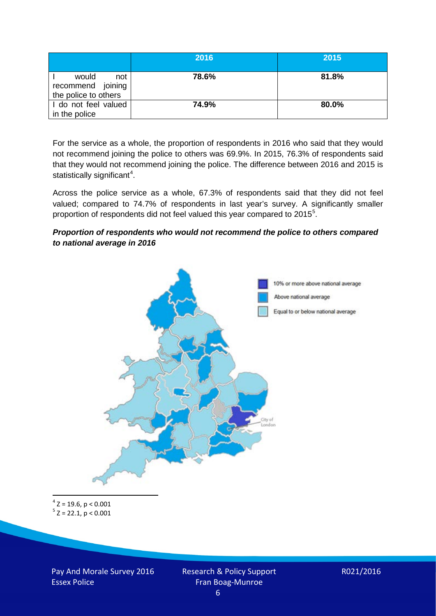|                                                           | 2016  | 2015  |
|-----------------------------------------------------------|-------|-------|
| would<br>not<br>recommend joining<br>the police to others | 78.6% | 81.8% |
| I do not feel valued<br>in the police                     | 74.9% | 80.0% |

For the service as a whole, the proportion of respondents in 2016 who said that they would not recommend joining the police to others was 69.9%. In 2015, 76.3% of respondents said that they would not recommend joining the police. The difference between 2016 and 2015 is statistically significant<sup>[4](#page-5-0)</sup>.

Across the police service as a whole, 67.3% of respondents said that they did not feel valued; compared to 74.7% of respondents in last year's survey. A significantly smaller proportion of respondents did not feel valued this year compared to 201[5](#page-5-1)<sup>5</sup>.

#### *Proportion of respondents who would not recommend the police to others compared to national average in 2016*



<span id="page-5-1"></span><span id="page-5-0"></span> $4$  Z = 19.6, p < 0.001  $5$  Z = 22.1, p < 0.001

Pay And Morale Survey 2016 Essex Police

Research & Policy Support Fran Boag-Munroe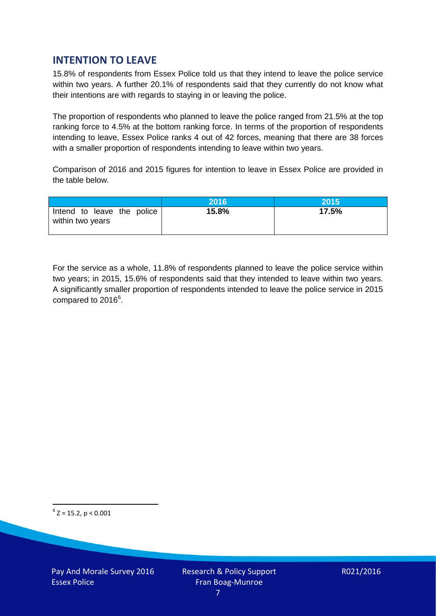# **INTENTION TO LEAVE**

15.8% of respondents from Essex Police told us that they intend to leave the police service within two years. A further 20.1% of respondents said that they currently do not know what their intentions are with regards to staying in or leaving the police.

The proportion of respondents who planned to leave the police ranged from 21.5% at the top ranking force to 4.5% at the bottom ranking force. In terms of the proportion of respondents intending to leave, Essex Police ranks 4 out of 42 forces, meaning that there are 38 forces with a smaller proportion of respondents intending to leave within two years.

Comparison of 2016 and 2015 figures for intention to leave in Essex Police are provided in the table below.

|                                                | 2016  | 2015  |
|------------------------------------------------|-------|-------|
| Intend to leave the police<br>within two years | 15.8% | 17.5% |

For the service as a whole, 11.8% of respondents planned to leave the police service within two years; in 2015, 15.6% of respondents said that they intended to leave within two years. A significantly smaller proportion of respondents intended to leave the police service in 2015 compared to 201[6](#page-6-0)<sup>6</sup>.

<span id="page-6-0"></span> $6$  Z = 15.2, p < 0.001

Pay And Morale Survey 2016 Essex Police

Research & Policy Support Fran Boag-Munroe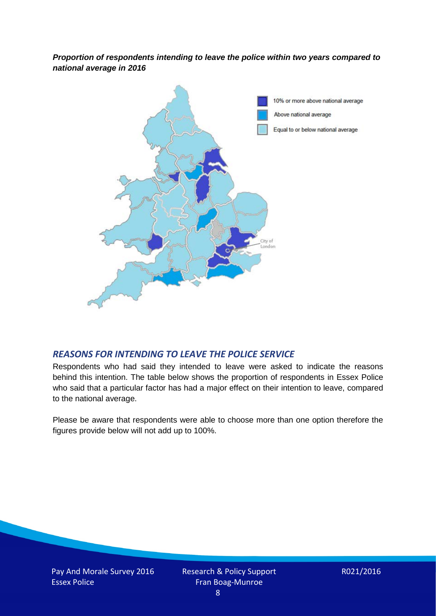*Proportion of respondents intending to leave the police within two years compared to national average in 2016*



# *REASONS FOR INTENDING TO LEAVE THE POLICE SERVICE*

Respondents who had said they intended to leave were asked to indicate the reasons behind this intention. The table below shows the proportion of respondents in Essex Police who said that a particular factor has had a major effect on their intention to leave, compared to the national average.

Please be aware that respondents were able to choose more than one option therefore the figures provide below will not add up to 100%.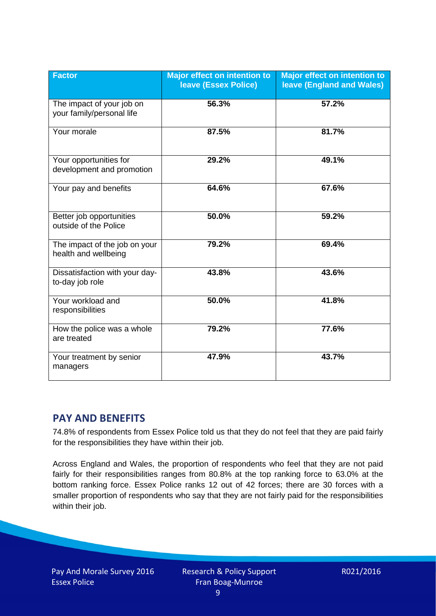| <b>Factor</b>                                          | <b>Major effect on intention to</b><br><b>leave (Essex Police)</b> | <b>Major effect on intention to</b><br><b>leave (England and Wales)</b> |
|--------------------------------------------------------|--------------------------------------------------------------------|-------------------------------------------------------------------------|
| The impact of your job on<br>your family/personal life | 56.3%                                                              | 57.2%                                                                   |
| Your morale                                            | 87.5%                                                              | 81.7%                                                                   |
| Your opportunities for<br>development and promotion    | 29.2%                                                              | 49.1%                                                                   |
| Your pay and benefits                                  | 64.6%                                                              | 67.6%                                                                   |
| Better job opportunities<br>outside of the Police      | 50.0%                                                              | 59.2%                                                                   |
| The impact of the job on your<br>health and wellbeing  | 79.2%                                                              | 69.4%                                                                   |
| Dissatisfaction with your day-<br>to-day job role      | 43.8%                                                              | 43.6%                                                                   |
| Your workload and<br>responsibilities                  | 50.0%                                                              | 41.8%                                                                   |
| How the police was a whole<br>are treated              | 79.2%                                                              | 77.6%                                                                   |
| Your treatment by senior<br>managers                   | 47.9%                                                              | 43.7%                                                                   |

# **PAY AND BENEFITS**

74.8% of respondents from Essex Police told us that they do not feel that they are paid fairly for the responsibilities they have within their job.

Across England and Wales, the proportion of respondents who feel that they are not paid fairly for their responsibilities ranges from 80.8% at the top ranking force to 63.0% at the bottom ranking force. Essex Police ranks 12 out of 42 forces; there are 30 forces with a smaller proportion of respondents who say that they are not fairly paid for the responsibilities within their job.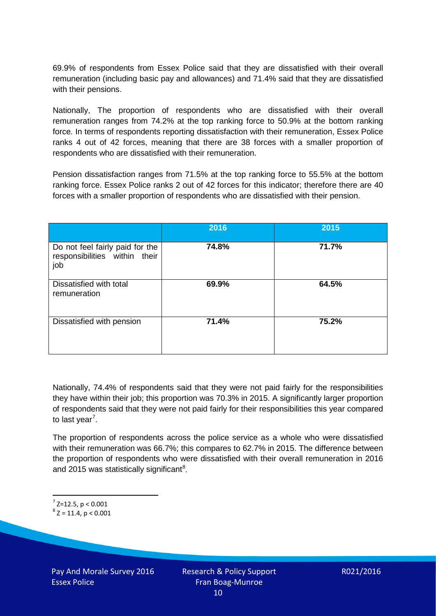69.9% of respondents from Essex Police said that they are dissatisfied with their overall remuneration (including basic pay and allowances) and 71.4% said that they are dissatisfied with their pensions.

Nationally, The proportion of respondents who are dissatisfied with their overall remuneration ranges from 74.2% at the top ranking force to 50.9% at the bottom ranking force. In terms of respondents reporting dissatisfaction with their remuneration, Essex Police ranks 4 out of 42 forces, meaning that there are 38 forces with a smaller proportion of respondents who are dissatisfied with their remuneration.

Pension dissatisfaction ranges from 71.5% at the top ranking force to 55.5% at the bottom ranking force. Essex Police ranks 2 out of 42 forces for this indicator; therefore there are 40 forces with a smaller proportion of respondents who are dissatisfied with their pension.

|                                                                         | 2016  | 2015  |
|-------------------------------------------------------------------------|-------|-------|
| Do not feel fairly paid for the<br>responsibilities within their<br>job | 74.8% | 71.7% |
| Dissatisfied with total<br>remuneration                                 | 69.9% | 64.5% |
| Dissatisfied with pension                                               | 71.4% | 75.2% |

Nationally, 74.4% of respondents said that they were not paid fairly for the responsibilities they have within their job; this proportion was 70.3% in 2015. A significantly larger proportion of respondents said that they were not paid fairly for their responsibilities this year compared to last year<sup>[7](#page-9-0)</sup>.

The proportion of respondents across the police service as a whole who were dissatisfied with their remuneration was 66.7%; this compares to 62.7% in 2015. The difference between the proportion of respondents who were dissatisfied with their overall remuneration in 2016 and 2015 was statistically significant<sup>[8](#page-9-1)</sup>.

<span id="page-9-0"></span> $7$  Z=12.5, p < 0.001

<span id="page-9-1"></span> $8$  Z = 11.4, p < 0.001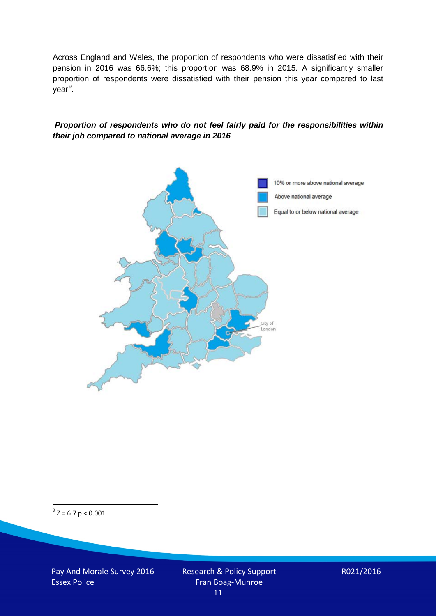Across England and Wales, the proportion of respondents who were dissatisfied with their pension in 2016 was 66.6%; this proportion was 68.9% in 2015. A significantly smaller proportion of respondents were dissatisfied with their pension this year compared to last year<sup>[9](#page-10-0)</sup>.

#### *Proportion of respondents who do not feel fairly paid for the responsibilities within their job compared to national average in 2016*



<span id="page-10-0"></span> $9^9$  Z = 6.7 p < 0.001